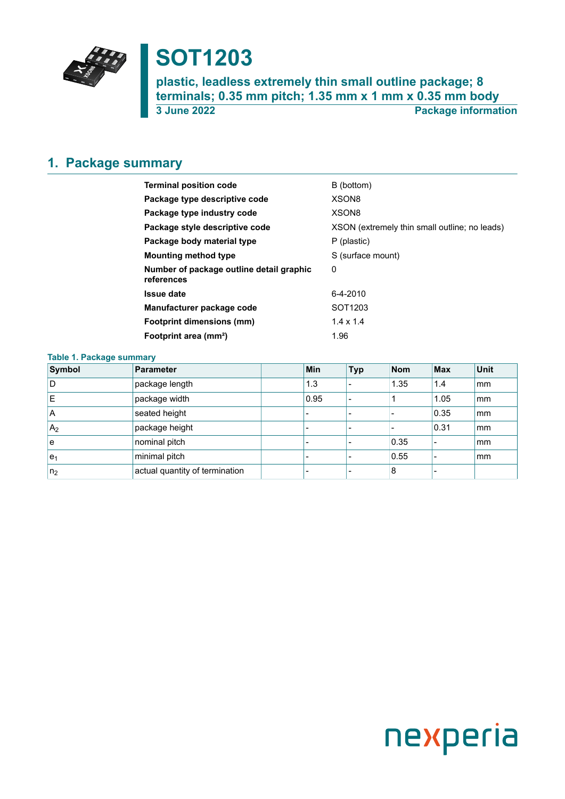

# **SOT1203**

**plastic, leadless extremely thin small outline package; 8 terminals; 0.35 mm pitch; 1.35 mm x 1 mm x 0.35 mm body 3 June 2022 Package information**

#### <span id="page-0-0"></span>**1. Package summary**

| <b>Terminal position code</b>                          | B (bottom)                                    |
|--------------------------------------------------------|-----------------------------------------------|
| Package type descriptive code                          | XSON <sub>8</sub>                             |
| Package type industry code                             | XSON <sub>8</sub>                             |
| Package style descriptive code                         | XSON (extremely thin small outline; no leads) |
| Package body material type                             | P (plastic)                                   |
| <b>Mounting method type</b>                            | S (surface mount)                             |
| Number of package outline detail graphic<br>references | 0                                             |
| <b>Issue date</b>                                      | 6-4-2010                                      |
| Manufacturer package code                              | SOT <sub>1203</sub>                           |
| Footprint dimensions (mm)                              | $1.4 \times 1.4$                              |
| Footprint area (mm <sup>2</sup> )                      | 1.96                                          |

#### **Table 1. Package summary**

| Symbol         | Parameter                      | Min  | <b>Typ</b> | <b>Nom</b> | <b>Max</b> | <b>Unit</b> |
|----------------|--------------------------------|------|------------|------------|------------|-------------|
| l D            | package length                 | 1.3  |            | 1.35       | 1.4        | mm          |
| ΙE             | package width                  | 0.95 |            |            | 1.05       | mm          |
| ΙA             | seated height                  |      |            |            | 0.35       | mm          |
| A <sub>2</sub> | package height                 |      |            |            | 0.31       | mm          |
| le             | nominal pitch                  |      |            | 0.35       |            | mm          |
| $ e_1$         | minimal pitch                  |      |            | 0.55       |            | mm          |
| n <sub>2</sub> | actual quantity of termination |      |            | 8          |            |             |

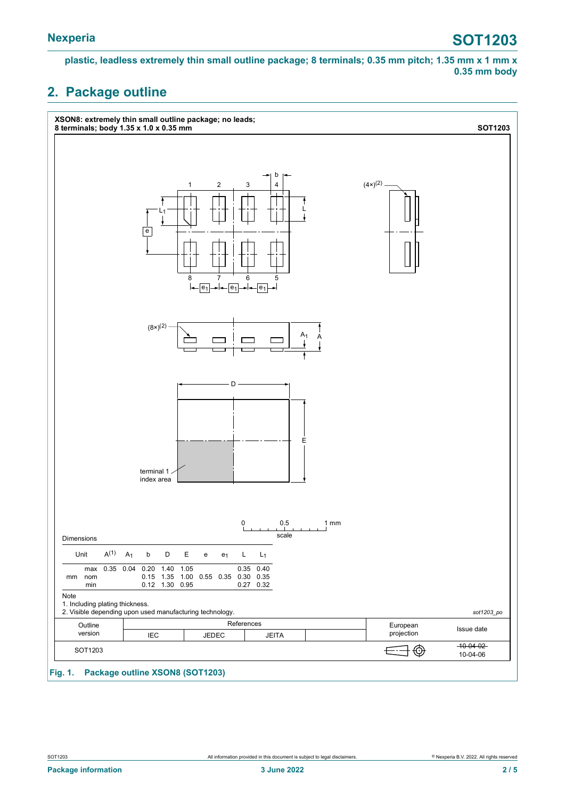**plastic, leadless extremely thin small outline package; 8 terminals; 0.35 mm pitch; 1.35 mm x 1 mm x 0.35 mm body**

### <span id="page-1-0"></span>**2. Package outline**

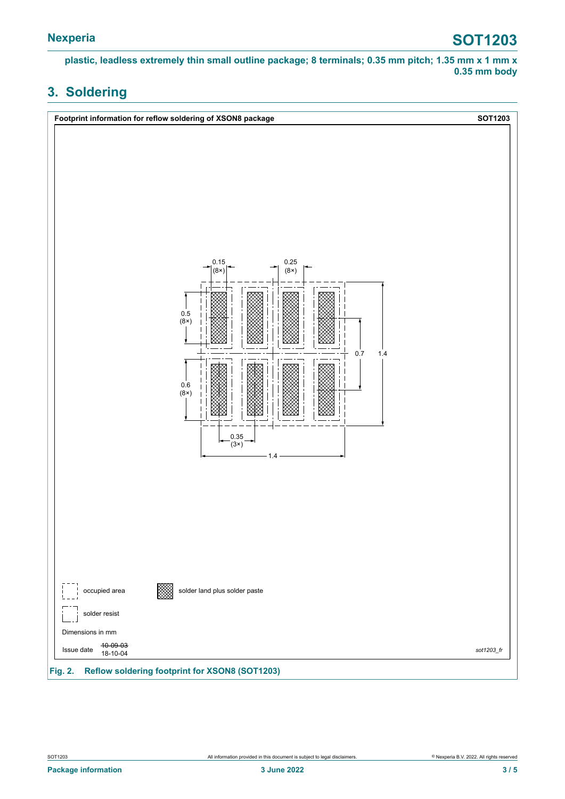# **Nexperia SOT1203**

**plastic, leadless extremely thin small outline package; 8 terminals; 0.35 mm pitch; 1.35 mm x 1 mm x 0.35 mm body**

## <span id="page-2-0"></span>**3. Soldering**

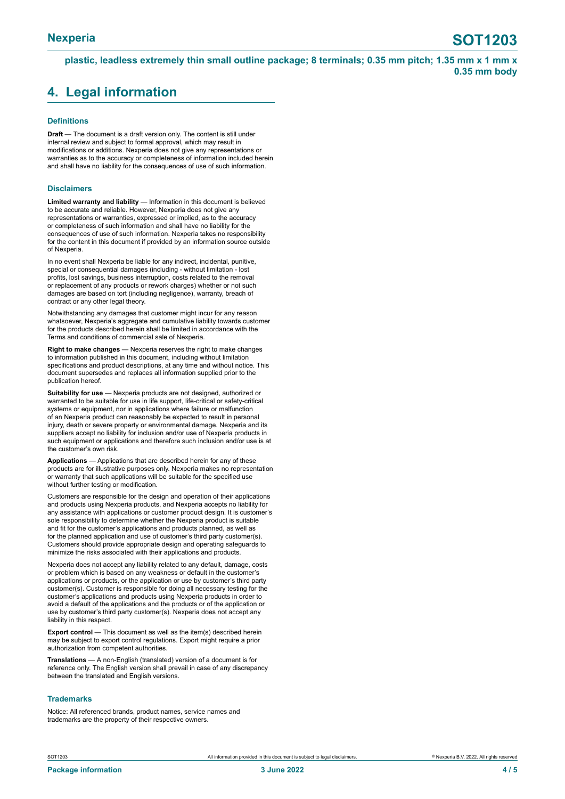**plastic, leadless extremely thin small outline package; 8 terminals; 0.35 mm pitch; 1.35 mm x 1 mm x 0.35 mm body**

## <span id="page-3-0"></span>**4. Legal information**

#### **Definitions**

**Draft** — The document is a draft version only. The content is still under internal review and subject to formal approval, which may result in modifications or additions. Nexperia does not give any representations or warranties as to the accuracy or completeness of information included herein and shall have no liability for the consequences of use of such information.

#### **Disclaimers**

**Limited warranty and liability** — Information in this document is believed to be accurate and reliable. However, Nexperia does not give any representations or warranties, expressed or implied, as to the accuracy or completeness of such information and shall have no liability for the consequences of use of such information. Nexperia takes no responsibility for the content in this document if provided by an information source outside of Nexperia.

In no event shall Nexperia be liable for any indirect, incidental, punitive, special or consequential damages (including - without limitation - lost profits, lost savings, business interruption, costs related to the removal or replacement of any products or rework charges) whether or not such damages are based on tort (including negligence), warranty, breach of contract or any other legal theory.

Notwithstanding any damages that customer might incur for any reason whatsoever, Nexperia's aggregate and cumulative liability towards customer for the products described herein shall be limited in accordance with the Terms and conditions of commercial sale of Nexperia.

**Right to make changes** — Nexperia reserves the right to make changes to information published in this document, including without limitation specifications and product descriptions, at any time and without notice. This document supersedes and replaces all information supplied prior to the publication hereof.

**Suitability for use** — Nexperia products are not designed, authorized or warranted to be suitable for use in life support, life-critical or safety-critical systems or equipment, nor in applications where failure or malfunction of an Nexperia product can reasonably be expected to result in personal injury, death or severe property or environmental damage. Nexperia and its suppliers accept no liability for inclusion and/or use of Nexperia products in such equipment or applications and therefore such inclusion and/or use is at the customer's own risk.

**Applications** — Applications that are described herein for any of these products are for illustrative purposes only. Nexperia makes no representation or warranty that such applications will be suitable for the specified use without further testing or modification.

Customers are responsible for the design and operation of their applications and products using Nexperia products, and Nexperia accepts no liability for any assistance with applications or customer product design. It is customer's sole responsibility to determine whether the Nexperia product is suitable and fit for the customer's applications and products planned, as well as for the planned application and use of customer's third party customer(s). Customers should provide appropriate design and operating safeguards to minimize the risks associated with their applications and products.

Nexperia does not accept any liability related to any default, damage, costs or problem which is based on any weakness or default in the customer's applications or products, or the application or use by customer's third party customer(s). Customer is responsible for doing all necessary testing for the customer's applications and products using Nexperia products in order to avoid a default of the applications and the products or of the application or use by customer's third party customer(s). Nexperia does not accept any liability in this respect.

**Export control** — This document as well as the item(s) described herein may be subject to export control regulations. Export might require a prior authorization from competent authorities.

**Translations** — A non-English (translated) version of a document is for reference only. The English version shall prevail in case of any discrepancy between the translated and English versions.

#### **Trademarks**

Notice: All referenced brands, product names, service names and trademarks are the property of their respective owners.